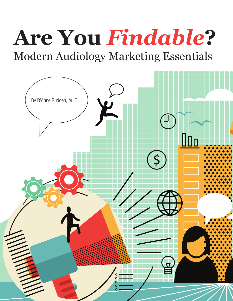

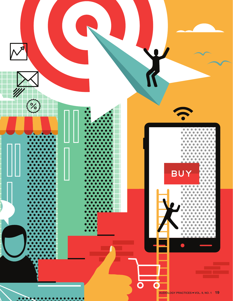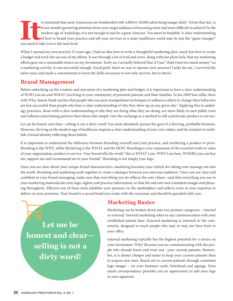It any wonder garnering attention from your target audience is becoming more and more difficult modern age of Audiology, it is not enough to just be a great clinician. You must be findable! A cle of how to brand your pract is estimated that most Americans are bombarded with 4,000 to 10,000 advertising images daily.<sup>1</sup> Given that fact, is it any wonder garnering attention from your target audience is becoming more and more difficult to achieve? In the modern age of Audiology, it is not enough to just be a great clinician. You must be findable! A clear understanding of how to brand your practice and sell your services in a noisy healthcare world may be just the "game changer" you need to take you to the next level.

When I opened my own practice 15 years ago, I had no idea how to write a thoughtful marketing plan, much less how to create a budget and track the success of my efforts. It was through a lot of trial and error, along with just plain luck, that my marketing efforts gave me a reasonable return on my investment. Early on, I actually believed that if I just "didn't lose too much money" on a marketing activity, it was successful enough. Good grief, that's no way to operate your practice! Lucky for me, I survived the naïve years and made a commitment to learn the skills necessary to not only survive, but to thrive.

### **Brand Management**

Before embarking on the creation and execution of a marketing plan and budget, it is important to have a clear understanding of WHO you are and WHAT you bring to your community of potential patients and their families. In his 2009 best seller, Start with Why, Simon Sinek teaches that people who use pure manipulation techniques to influence others to change their behaviors are less successful than people who have a clear understanding of why they show up on any given day.<sup>2</sup> Applying this to audiology practices, those with a clear understanding of why they are doing what they are doing, are more likely to earn public trust and influence purchasing patterns than those who simply view the exchange as a method to sell a particular product or service.

Let me be honest and clear—selling is not a dirty word! You must absolutely pursue the goal of a thriving, profitable business. However, thriving in the modern age of healthcare requires a clear understanding of your core values, and the mindset to establish a brand identity reflecting those beliefs.

It is important to understand the difference between branding yourself and your practice, and marketing a product or price. Branding is the WHY, while Marketing is the WHAT and the HOW. Branding is your expression of the essential truth or value of your organization, product or service. Your brand tells the world "this is WHAT I am, WHY I am here, WHERE you can buy me, support me and recommend me to your friends". Branding is not simply your logo.

Once you are clear about your unique brand characteristics, marketing becomes your vehicle for taking your message out into the world. Branding and marketing work together to create a dialogue between you and your audience.3 Once you are clear and confident in your brand messaging, make sure that everything you do reflects the core values—and that everything you use in your marketing materials has your logo, tagline and practice information, so that the end user sees consistent images and phrasing throughout. Effective use of these tools solidifies your presence in the marketplace and reflects trust in your expertise to deliver on your promises. Your brand is a sacred bond you create with the consumer and should be guarded with care.

**Let me be honest and clear selling is not a dirty word!**

# **Marketing Basics**

Marketing can be broken down into two primary categories – internal or external. Internal marketing refers to any communication with your established patient base. External marketing is outreach to the community, designed to reach people who may or may not have been to your office.

Internal marketing typically has the highest potential for a return on your investment. Why? Because you are communicating with the people who already know and trust you…your current patients. Remember, it is always cheaper and easier to keep your current patients than to acquire new ones. Reach out to current patients through consistent logo images – on your business cards, letterhead and signage. Even email correspondence provides you an opportunity to add your logo in your signature.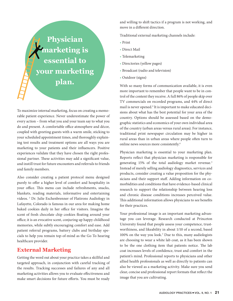

To maximize internal marketing, focus on creating a memorable patient experience. Never underestimate the power of every action – from what you and your team say to what you do and present. A comfortable office atmosphere and décor, coupled with greeting guests with a warm smile, sticking to your scheduled appointment times, and thoroughly explaining test results and treatment options are all ways you are marketing to your patients and their influencers. Positive experiences validate that they have chosen the right professional partner. These activities may add a significant value, and instill trust for future encounters and referrals to friends and family members.

Also consider creating a patient protocol menu designed purely to offer a higher level of comfort and hospitality in your office. This menu can include refreshments, snacks, blankets, reading materials, informative and entertaining videos. 3 Dr. Julie Eschenbrenner of Flatirons Audiology in Lafayette, Colorado is famous in our area for making home baked cookies daily in her office for visitors. Imagine the scent of fresh chocolate chip cookies floating around your office; it is an evocative scent, conjuring up happy childhood memories, while subtly encouraging comfort and ease. Add patient referral programs, battery clubs and birthday specials to help you remain top-of-mind as the Go To hearing healthcare provider.

#### **External Marketing**

Getting the word out about your practice takes a skillful and targeted approach, in conjunction with careful tracking of the results. Tracking successes and failures of any and all marketing activities allows you to evaluate effectiveness and make smart decisions for future efforts. You must be ready and willing to shift tactics if a program is not working, and move in a different direction.

Traditional external marketing channels include:

- Print
- Direct Mail
- Telemarketing
- Directories (yellow pages)
- Broadcast (radio and television)
- Outdoor (signs)

With so many forms of communication available, it is even more important to remember that people want to be in control of the content they receive. A full 86% of people skip over TV commercials on recorded programs, and 44% of direct mail is never opened.<sup>4</sup> It is important to make educated decisions about what has the best potential for your area of the country. Options should be assessed based on the demographic statistics and economics of your own individual area of the country (urban areas versus rural areas). For instance, traditional print newspaper circulation may be higher in rural areas than in urban areas where people often turn to online news sources more consistently.4

Physician marketing is essential to your marketing plan. Reports reflect that physician marketing is responsible for generating 15% of the total audiology market revenue.<sup>3</sup> Instead of merely selling audiology diagnostics, services and products, consider creating a value proposition for the physicians and their support staff. Adding information on comorbidities and conditions that have evidence-based clinical research to support the relationship between hearing loss and chronic disease conditions increases perceived value. This additional information allows physicians to see benefits for their practices.

Your professional image is an important marketing advantage you can leverage. Research conducted at Princeton University found that people assess your competence, trustworthiness, and likeability in about 1/10 of a second, based 100% on the way you look.3 Due to this, many audiologists are choosing to wear a white lab coat, as it has been shown to be the one clothing item that patients notice. The lab coat increases levels of confidence, trust and comfort in the patient's mind. Professional reports to physicians and other allied health professionals as well as directly to patients can also be viewed as a marketing activity. Make sure you send clear, concise and professional report formats that reflect the image that you are cultivating.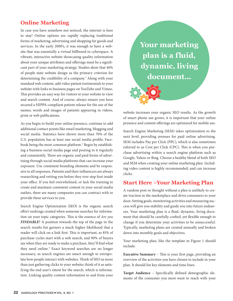### **Online Marketing**

In case you have somehow not noticed, the internet is here to stay! Online options are rapidly replacing traditional forms of marketing, advertising and shopping for goods and services. In the early 2000's, it was enough to have a website that was essentially a virtual billboard in cyberspace. A vibrant, interactive website showcasing quality information about your unique attributes and offerings must be a significant part of your marketing strategy. Studies show that 46% of people state website design as the primary criterion for determining the credibility of a company.3 Along with your standard web content, add video patient testimonials to your website with links to business pages on YouTube and Vimeo. This provides an easy way for visitors to your website to view and search content. And of course, always ensure you have secured a HIPPA compliant patient release for the use of the names, words and images of patients appearing in videos, print or web publications.

As you begin to build your online presence, continue to add additional contact points like email marketing, blogging and social media. Statistics have shown more than 70% of the U.S. population has at least one social media profile; Facebook being the most common platform.<sup>5</sup> Begin by establishing a business social media page and posting to it regularly and consistently. There are organic and paid forms of advertising through social media platforms that can increase your exposure. Use consistent branding elements and be responsive to all responses. Patients and their influencers are always researching and vetting you before they ever step foot inside your office. If you feel overwhelmed, or lack the training to create and maintain consistent content in your social media outlets, there are many companies you can contract with to provide these services to you.

Search Engine Optimization (SEO) is the organic search effort rankings created when someone searches for information on your topic categories. This is the essence of *Are you FINDABLE*? A position towards the top of the page in the search results list garners a much higher likelihood that a reader will click on a link first. This is important, as 81% of purchase cycles start with a web search, and 90% of buyers say when they are ready to make a purchase, they'll find what they need online.3 Exact keyword searches are no longer necessary, as search engines are smart enough to extrapolate how people interact with websites. Think of SEO as more than just gathering clicks to your website; think of it as satisfying the end user's intent for the search, which is information. Linking quality content information to and from your

**Your marketing plan is a fluid, dynamic, living document...** 

website increases your organic SEO results. As the growth of smart phone use grows, it is important that your online presence and content offerings are optimized for mobile use.

Search Engine Marketing (SEM) takes optimization to the next level, providing avenues for paid online advertising. SEM includes Pay per Click (PPC), which is also sometimes referred to as Cost per Click (CPC). This is when you purchase advertising within a search engine platform such as Google, Yahoo or Bing. Choose a healthy blend of both SEO and SEM when creating your online marketing plan. Including video content is highly recommended, and can increase clicks.

#### **Start Here –Your Marketing Plan**

A random post or thought without a plan is unlikely to create traction in the marketplace and drive consumers to your door. Setting goals, monitoring activities and measuring success will give you stability and guide you into future endeavors. Your marketing plan is a fluid, dynamic, living document that should be carefully crafted, yet flexible enough to change if you determine your activities to be unsuccessful. Typically, marketing plans are created annually and broken down into monthly goals and objectives.

Your marketing plan, like the template in Figure 1 should include:

**Executive Summary** – This is your first page, providing an overview of the activities you have chosen to include in your plan. It should list key elements and time lines.

**Target Audience** – Specifically defined demographic elements of the consumer you most want to reach with your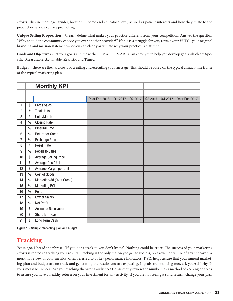efforts. This includes age, gender, location, income and education level, as well as patient interests and how they relate to the product or service you are promoting.

**Unique Selling Proposition** – Clearly define what makes your practice different from your competition. Answer the question "Why should the community choose you over another provider?" If this is a struggle for you, revisit your WHY—your original branding and mission statement—so you can clearly articulate why your practice is different.

**Goals and Objectives** - Set your goals and make them SMART. SMART is an acronym to help you develop goals which are **S**pecific, **M**easurable, **A**ctionable, **R**ealistic and **T**imed.3

**Budget** – These are the hard costs of creating and executing your message. This should be based on the typical annual time frame of the typical marketing plan.

|                |               | <b>Monthly KPI</b>           |               |         |         |         |         |               |
|----------------|---------------|------------------------------|---------------|---------|---------|---------|---------|---------------|
|                |               |                              |               |         |         |         |         |               |
|                |               |                              | Year End 2016 | Q1 2017 | Q2 2017 | Q3 2017 | Q4 2017 | Year End 2017 |
| 1              | \$            | <b>Gross Sales</b>           |               |         |         |         |         |               |
| $\overline{c}$ | $\#$          | <b>Total Units</b>           |               |         |         |         |         |               |
| 3              | $\#$          | Units/Month                  |               |         |         |         |         |               |
| 4              | $\%$          | <b>Closing Rate</b>          |               |         |         |         |         |               |
| 5              | $\frac{0}{0}$ | <b>Binaural Rate</b>         |               |         |         |         |         |               |
| 6              | $\frac{0}{0}$ | Return for Credit            |               |         |         |         |         |               |
| 7              | $\frac{0}{0}$ | <b>Exchange Rate</b>         |               |         |         |         |         |               |
| 8              | $\#$          | <b>Resell Rate</b>           |               |         |         |         |         |               |
| 9              | $\%$          | Repair to Sales              |               |         |         |         |         |               |
| 10             | \$            | <b>Average Selling Price</b> |               |         |         |         |         |               |
| 11             | \$            | Average Cost/Unit            |               |         |         |         |         |               |
| 12             | \$            | Average Margin per Unit      |               |         |         |         |         |               |
| 13             | $\frac{0}{0}$ | Cost of Goods                |               |         |         |         |         |               |
| 14             | $\frac{0}{0}$ | Marketing/Ad (% of Gross)    |               |         |         |         |         |               |
| 15             | $\frac{0}{0}$ | <b>Marketing ROI</b>         |               |         |         |         |         |               |
| 16             | $\frac{0}{0}$ | Rent                         |               |         |         |         |         |               |
| 17             | $\frac{0}{0}$ | <b>Owner Salary</b>          |               |         |         |         |         |               |
| 18             | $\frac{0}{0}$ | <b>Net Profit</b>            |               |         |         |         |         |               |
| 19             | \$            | <b>Accounts Receivable</b>   |               |         |         |         |         |               |
| 20             | \$            | Short Term Cash              |               |         |         |         |         |               |
| 21             | \$            | Long Term Cash               |               |         |         |         |         |               |

Figure 1 – Sample marketing plan and budget

# **Tracking**

Years ago, I heard the phrase, "If you don't track it, you don't know". Nothing could be truer! The success of your marketing efforts is rooted in tracking your results. Tracking is the only real way to gauge success, breakeven or failure of any endeavor. A monthly review of your metrics, often referred to as key performance indicators (KPI), helps assure that your annual marketing plan and budget are on track and generating the results you are expecting. If goals are not being met, ask yourself why. Is your message unclear? Are you reaching the wrong audience? Consistently review the numbers as a method of keeping on track to assure you have a healthy return on your investment for any activity. If you are not seeing a solid return, change your plan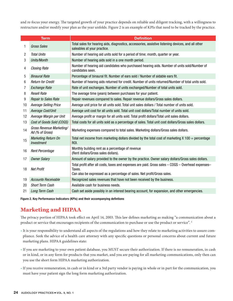and re-focus your energy. The targeted growth of your practice depends on reliable and diligent tracking, with a willingness to restructure and/or modify your plan as the year unfolds. Figure 2 is an example of KPIs that need to be tracked by the practice.

|    | <b>Term</b>                                 | <b>Definition</b>                                                                                                                                                                       |  |  |  |  |
|----|---------------------------------------------|-----------------------------------------------------------------------------------------------------------------------------------------------------------------------------------------|--|--|--|--|
| 1  | <b>Gross Sales</b>                          | Total sales for hearing aids, diagnostics, accessories, assistive listening devices, and all other<br>saleables at your practice.                                                       |  |  |  |  |
| 2  | <b>Total Units</b>                          | Number of hearing aid units sold for a period of time; month, quarter or year.                                                                                                          |  |  |  |  |
| 3  | Units/Month                                 | Number of hearing aids sold in a one month period.                                                                                                                                      |  |  |  |  |
| 4  | <b>Closing Rate</b>                         | Number of hearing aid candidates who purchased hearing aids. Number of units sold/Number of<br>candidates seen.                                                                         |  |  |  |  |
| 5  | <b>Binaural Rate</b>                        | Percentage of binaural fit. Number of ears sold / Number of aidable ears fit.                                                                                                           |  |  |  |  |
| 6  | <b>Return for Credit</b>                    | Number of hearing aids returned for credit. Number of units returned/Number of total units sold.                                                                                        |  |  |  |  |
| 7  | <b>Exchange Rate</b>                        | Rate of unit exchanges. Number of units exchanged/Number of total units sold.                                                                                                           |  |  |  |  |
| 8  | <b>Resell Rate</b>                          | The average time (years) between purchases for your patient.                                                                                                                            |  |  |  |  |
| 9  | <b>Repair to Sales Rate</b>                 | Repair revenues compared to sales. Repair revenue dollars/Gross sales dollars.                                                                                                          |  |  |  |  |
| 10 | <b>Average Selling Price</b>                | Average unit price for all units sold. Total unit sales dollars / Total number of units sold.                                                                                           |  |  |  |  |
| 11 | Average Cost/Unit                           | Average unit cost for all units sold. Total unit cost dollars/Total number of units sold.                                                                                               |  |  |  |  |
| 12 | Average Margin per Unit                     | Average profit or margin for all units sold. Total profit dollars/Total unit sales dollars.                                                                                             |  |  |  |  |
| 13 | Cost of Goods Sold (COGS)                   | Total costs for all units sold as a percentage of sales. Total unit cost dollars/Gross sales dollars.                                                                                   |  |  |  |  |
| 14 | Gross Revenue Marketing/<br>Ad (% of Gross) | Marketing expenses compared to total sales. Marketing dollars/Gross sales dollars.                                                                                                      |  |  |  |  |
| 15 | Marketing Return On<br><b>Investment</b>    | Total net income from marketing dollars divided by the total cost of marketing $X$ 100 = percentage<br>ROI.                                                                             |  |  |  |  |
| 16 | <b>Rent Percentage</b>                      | Monthly building rent as a percentage of revenue<br>(Rent dollars/Gross sales dollars).                                                                                                 |  |  |  |  |
| 17 | <b>Owner Salary</b>                         | Amount of salary provided to the owner by the practice. Owner salary dollars/Gross sales dollars.                                                                                       |  |  |  |  |
| 18 | <b>Net Profit</b>                           | Total profit after all costs, taxes and expenses are paid. Gross sales - COGS - Overhead expenses-<br>Taxes.<br>Can also be expressed as a percentage of sales. Net profit/Gross sales. |  |  |  |  |
| 19 | <b>Accounts Receivable</b>                  | Recognized sales revenues that have not been received by the business.                                                                                                                  |  |  |  |  |
| 20 | <b>Short Term Cash</b>                      | Available cash for business needs.                                                                                                                                                      |  |  |  |  |
| 21 | Long Term Cash                              | Cash set aside possibly in an interest bearing account, for expansion, and other emergencies.                                                                                           |  |  |  |  |

Figure 2. Key Performance Indicators (KPIs) and their accompanying defintions

# **Marketing and HIPAA**

The privacy portion of HIPAA took effect on April 14, 2003. This law defines marketing as making "a communication about a product or service that encourages recipients of the communication to purchase or use the product or service".<sup>3</sup>

- It is your responsibility to understand all aspects of the regulations and how they relate to marketing activities to assure compliance. Seek the advice of a health care attorney with any specific questions or personal concerns about current and future marketing plans. HIPAA guidelines state:
- If you are marketing to your own patient database, you MUST secure their authorization. If there is no remuneration, in cash or in kind, or in any form for products that you market, and you are paying for all marketing communications, only then can you use the short form HIPAA marketing authorization.
- If you receive remuneration, in cash or in kind or a 3rd party vendor is paying in whole or in part for the communication, you must have your patient sign the long form marketing authorization.